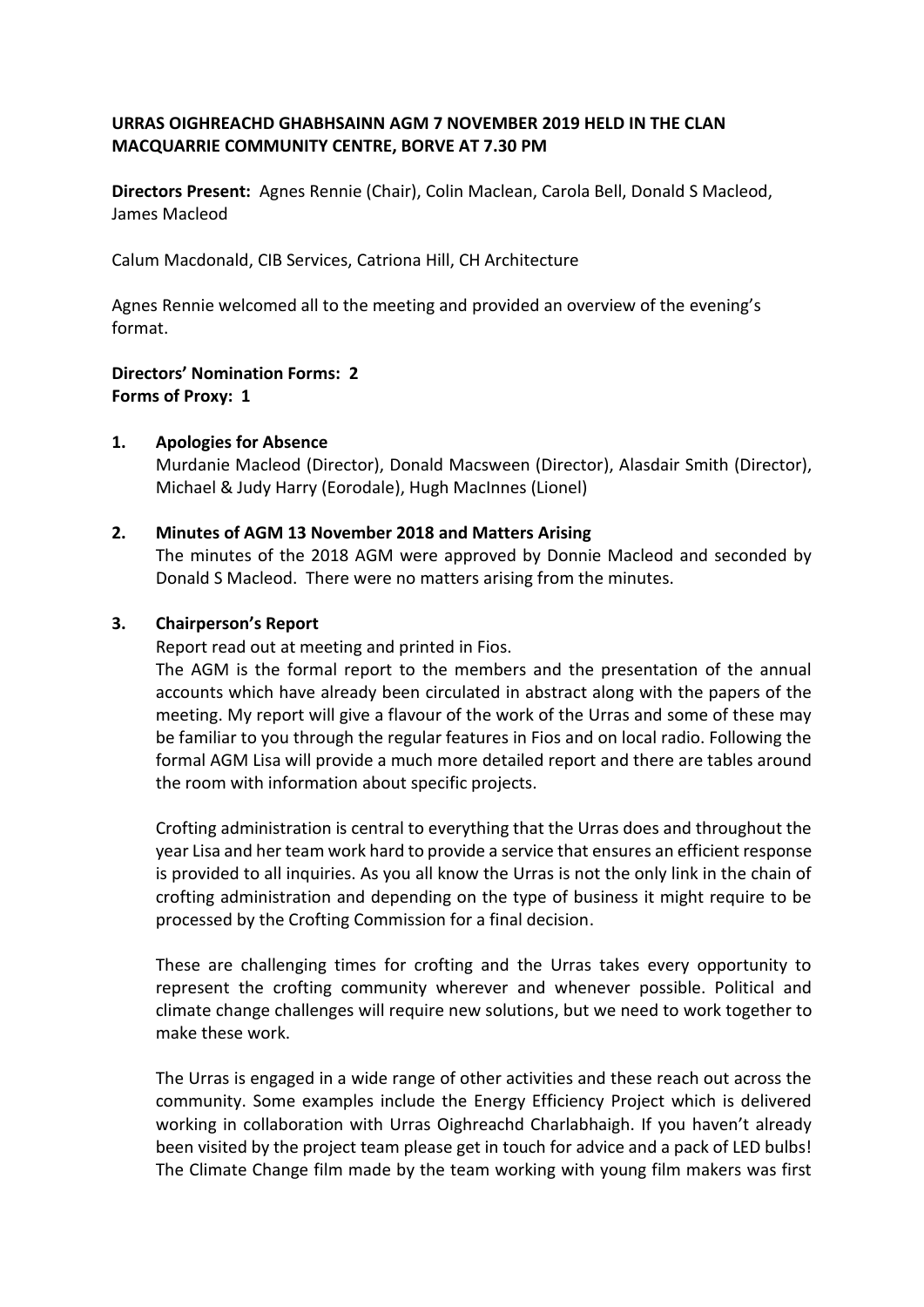## **URRAS OIGHREACHD GHABHSAINN AGM 7 NOVEMBER 2019 HELD IN THE CLAN MACQUARRIE COMMUNITY CENTRE, BORVE AT 7.30 PM**

**Directors Present:** Agnes Rennie (Chair), Colin Maclean, Carola Bell, Donald S Macleod, James Macleod

Calum Macdonald, CIB Services, Catriona Hill, CH Architecture

Agnes Rennie welcomed all to the meeting and provided an overview of the evening's format.

# **Directors' Nomination Forms: 2 Forms of Proxy: 1**

### **1. Apologies for Absence**

Murdanie Macleod (Director), Donald Macsween (Director), Alasdair Smith (Director), Michael & Judy Harry (Eorodale), Hugh MacInnes (Lionel)

#### **2. Minutes of AGM 13 November 2018 and Matters Arising**

The minutes of the 2018 AGM were approved by Donnie Macleod and seconded by Donald S Macleod. There were no matters arising from the minutes.

### **3. Chairperson's Report**

Report read out at meeting and printed in Fios.

The AGM is the formal report to the members and the presentation of the annual accounts which have already been circulated in abstract along with the papers of the meeting. My report will give a flavour of the work of the Urras and some of these may be familiar to you through the regular features in Fios and on local radio. Following the formal AGM Lisa will provide a much more detailed report and there are tables around the room with information about specific projects.

Crofting administration is central to everything that the Urras does and throughout the year Lisa and her team work hard to provide a service that ensures an efficient response is provided to all inquiries. As you all know the Urras is not the only link in the chain of crofting administration and depending on the type of business it might require to be processed by the Crofting Commission for a final decision.

These are challenging times for crofting and the Urras takes every opportunity to represent the crofting community wherever and whenever possible. Political and climate change challenges will require new solutions, but we need to work together to make these work.

The Urras is engaged in a wide range of other activities and these reach out across the community. Some examples include the Energy Efficiency Project which is delivered working in collaboration with Urras Oighreachd Charlabhaigh. If you haven't already been visited by the project team please get in touch for advice and a pack of LED bulbs! The Climate Change film made by the team working with young film makers was first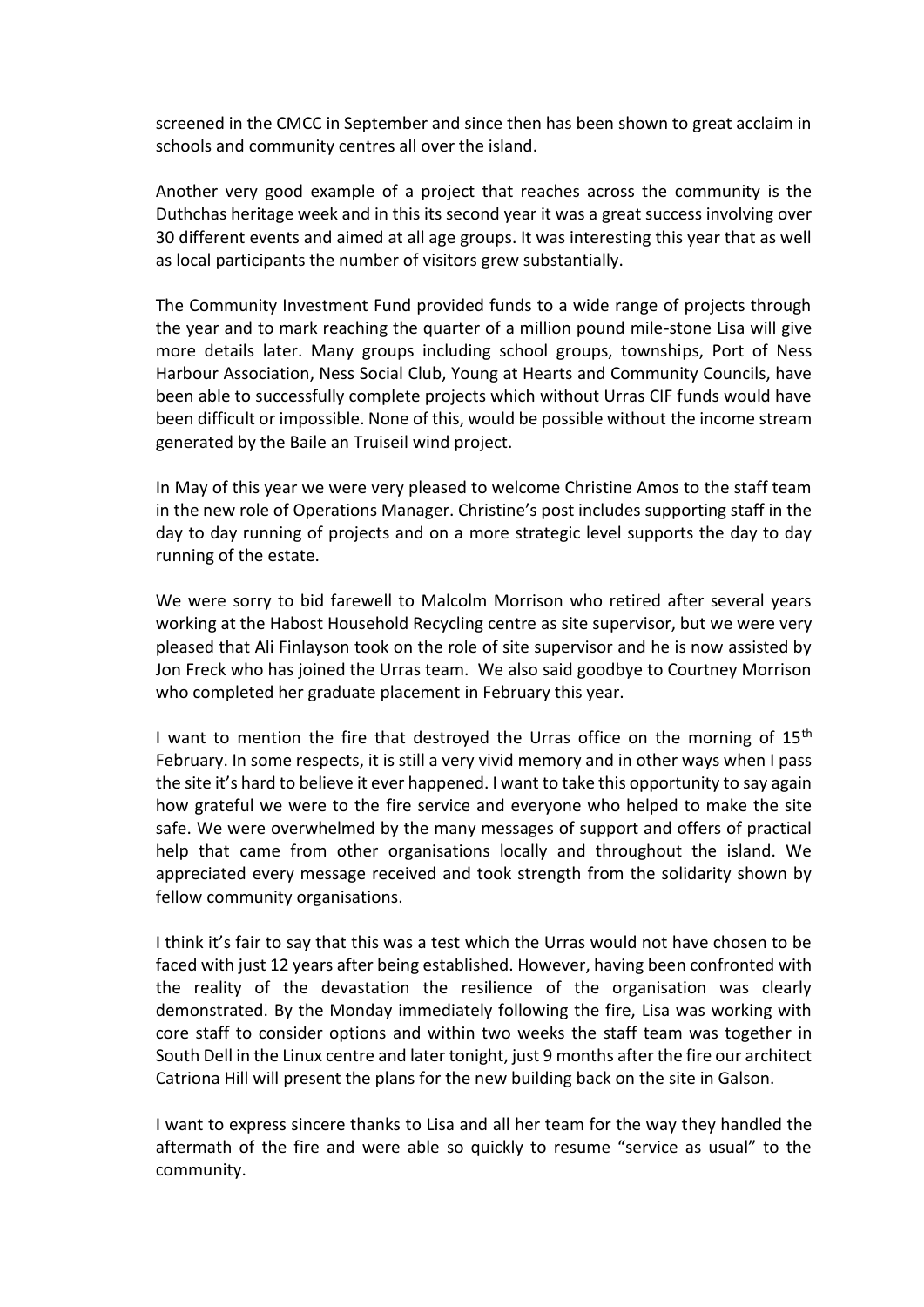screened in the CMCC in September and since then has been shown to great acclaim in schools and community centres all over the island.

Another very good example of a project that reaches across the community is the Duthchas heritage week and in this its second year it was a great success involving over 30 different events and aimed at all age groups. It was interesting this year that as well as local participants the number of visitors grew substantially.

The Community Investment Fund provided funds to a wide range of projects through the year and to mark reaching the quarter of a million pound mile-stone Lisa will give more details later. Many groups including school groups, townships, Port of Ness Harbour Association, Ness Social Club, Young at Hearts and Community Councils, have been able to successfully complete projects which without Urras CIF funds would have been difficult or impossible. None of this, would be possible without the income stream generated by the Baile an Truiseil wind project.

In May of this year we were very pleased to welcome Christine Amos to the staff team in the new role of Operations Manager. Christine's post includes supporting staff in the day to day running of projects and on a more strategic level supports the day to day running of the estate.

We were sorry to bid farewell to Malcolm Morrison who retired after several years working at the Habost Household Recycling centre as site supervisor, but we were very pleased that Ali Finlayson took on the role of site supervisor and he is now assisted by Jon Freck who has joined the Urras team. We also said goodbye to Courtney Morrison who completed her graduate placement in February this year.

I want to mention the fire that destroyed the Urras office on the morning of  $15<sup>th</sup>$ February. In some respects, it is still a very vivid memory and in other ways when I pass the site it's hard to believe it ever happened. I want to take this opportunity to say again how grateful we were to the fire service and everyone who helped to make the site safe. We were overwhelmed by the many messages of support and offers of practical help that came from other organisations locally and throughout the island. We appreciated every message received and took strength from the solidarity shown by fellow community organisations.

I think it's fair to say that this was a test which the Urras would not have chosen to be faced with just 12 years after being established. However, having been confronted with the reality of the devastation the resilience of the organisation was clearly demonstrated. By the Monday immediately following the fire, Lisa was working with core staff to consider options and within two weeks the staff team was together in South Dell in the Linux centre and later tonight, just 9 months after the fire our architect Catriona Hill will present the plans for the new building back on the site in Galson.

I want to express sincere thanks to Lisa and all her team for the way they handled the aftermath of the fire and were able so quickly to resume "service as usual" to the community.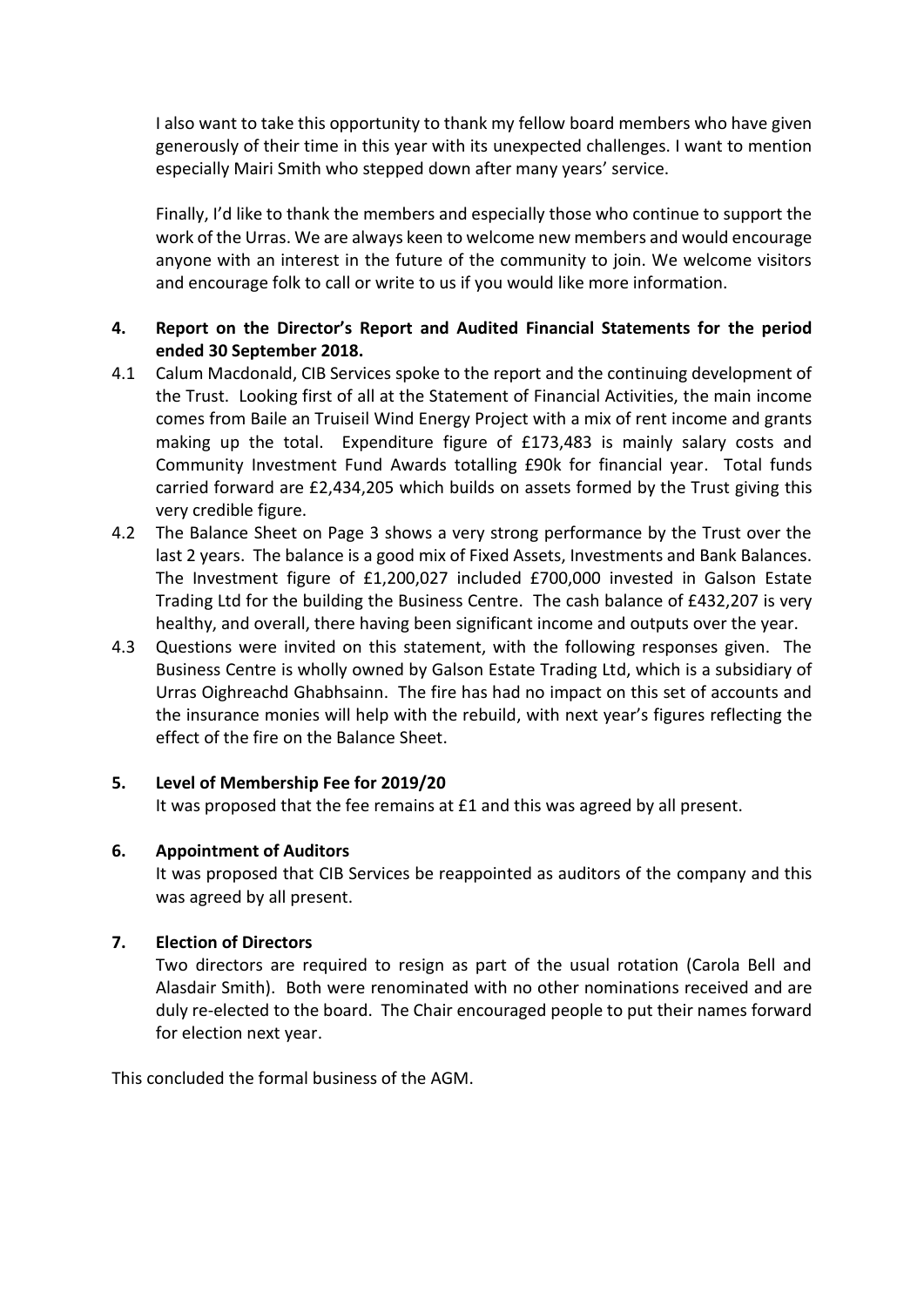I also want to take this opportunity to thank my fellow board members who have given generously of their time in this year with its unexpected challenges. I want to mention especially Mairi Smith who stepped down after many years' service.

Finally, I'd like to thank the members and especially those who continue to support the work of the Urras. We are always keen to welcome new members and would encourage anyone with an interest in the future of the community to join. We welcome visitors and encourage folk to call or write to us if you would like more information.

## **4. Report on the Director's Report and Audited Financial Statements for the period ended 30 September 2018.**

- 4.1 Calum Macdonald, CIB Services spoke to the report and the continuing development of the Trust. Looking first of all at the Statement of Financial Activities, the main income comes from Baile an Truiseil Wind Energy Project with a mix of rent income and grants making up the total. Expenditure figure of £173,483 is mainly salary costs and Community Investment Fund Awards totalling £90k for financial year. Total funds carried forward are £2,434,205 which builds on assets formed by the Trust giving this very credible figure.
- 4.2 The Balance Sheet on Page 3 shows a very strong performance by the Trust over the last 2 years. The balance is a good mix of Fixed Assets, Investments and Bank Balances. The Investment figure of £1,200,027 included £700,000 invested in Galson Estate Trading Ltd for the building the Business Centre. The cash balance of £432,207 is very healthy, and overall, there having been significant income and outputs over the year.
- 4.3 Questions were invited on this statement, with the following responses given. The Business Centre is wholly owned by Galson Estate Trading Ltd, which is a subsidiary of Urras Oighreachd Ghabhsainn. The fire has had no impact on this set of accounts and the insurance monies will help with the rebuild, with next year's figures reflecting the effect of the fire on the Balance Sheet.

### **5. Level of Membership Fee for 2019/20**

It was proposed that the fee remains at £1 and this was agreed by all present.

### **6. Appointment of Auditors**

It was proposed that CIB Services be reappointed as auditors of the company and this was agreed by all present.

### **7. Election of Directors**

Two directors are required to resign as part of the usual rotation (Carola Bell and Alasdair Smith). Both were renominated with no other nominations received and are duly re-elected to the board. The Chair encouraged people to put their names forward for election next year.

This concluded the formal business of the AGM.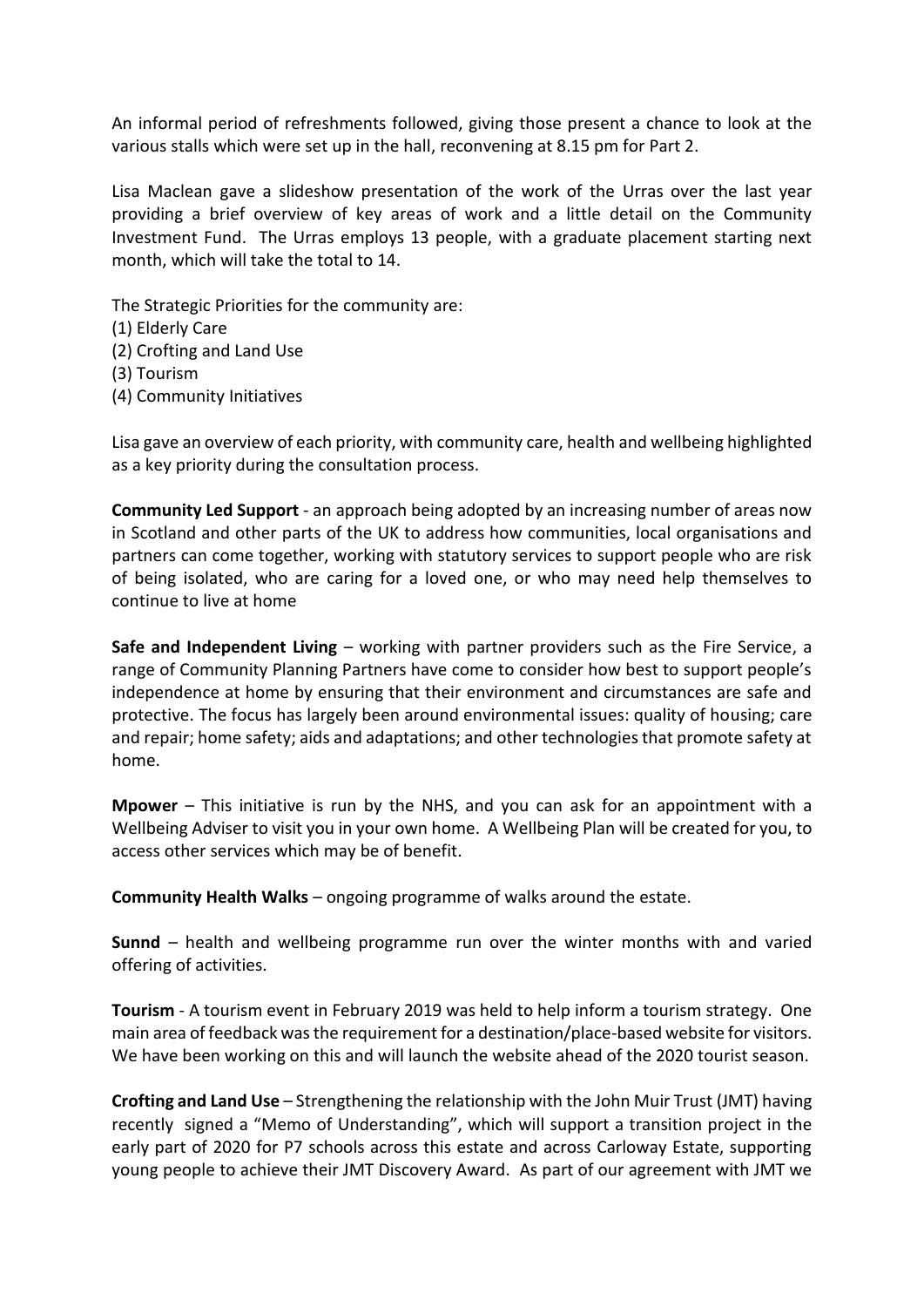An informal period of refreshments followed, giving those present a chance to look at the various stalls which were set up in the hall, reconvening at 8.15 pm for Part 2.

Lisa Maclean gave a slideshow presentation of the work of the Urras over the last year providing a brief overview of key areas of work and a little detail on the Community Investment Fund. The Urras employs 13 people, with a graduate placement starting next month, which will take the total to 14.

The Strategic Priorities for the community are:

- (1) Elderly Care
- (2) Crofting and Land Use
- (3) Tourism
- (4) Community Initiatives

Lisa gave an overview of each priority, with community care, health and wellbeing highlighted as a key priority during the consultation process.

**Community Led Support** - an approach being adopted by an increasing number of areas now in Scotland and other parts of the UK to address how communities, local organisations and partners can come together, working with statutory services to support people who are risk of being isolated, who are caring for a loved one, or who may need help themselves to continue to live at home

**Safe and Independent Living** – working with partner providers such as the Fire Service, a range of Community Planning Partners have come to consider how best to support people's independence at home by ensuring that their environment and circumstances are safe and protective. The focus has largely been around environmental issues: quality of housing; care and repair; home safety; aids and adaptations; and other technologies that promote safety at home.

**Mpower** – This initiative is run by the NHS, and you can ask for an appointment with a Wellbeing Adviser to visit you in your own home. A Wellbeing Plan will be created for you, to access other services which may be of benefit.

**Community Health Walks** – ongoing programme of walks around the estate.

**Sunnd** – health and wellbeing programme run over the winter months with and varied offering of activities.

**Tourism** - A tourism event in February 2019 was held to help inform a tourism strategy. One main area of feedback was the requirement for a destination/place-based website for visitors. We have been working on this and will launch the website ahead of the 2020 tourist season.

**Crofting and Land Use** – Strengthening the relationship with the John Muir Trust (JMT) having recently signed a "Memo of Understanding", which will support a transition project in the early part of 2020 for P7 schools across this estate and across Carloway Estate, supporting young people to achieve their JMT Discovery Award. As part of our agreement with JMT we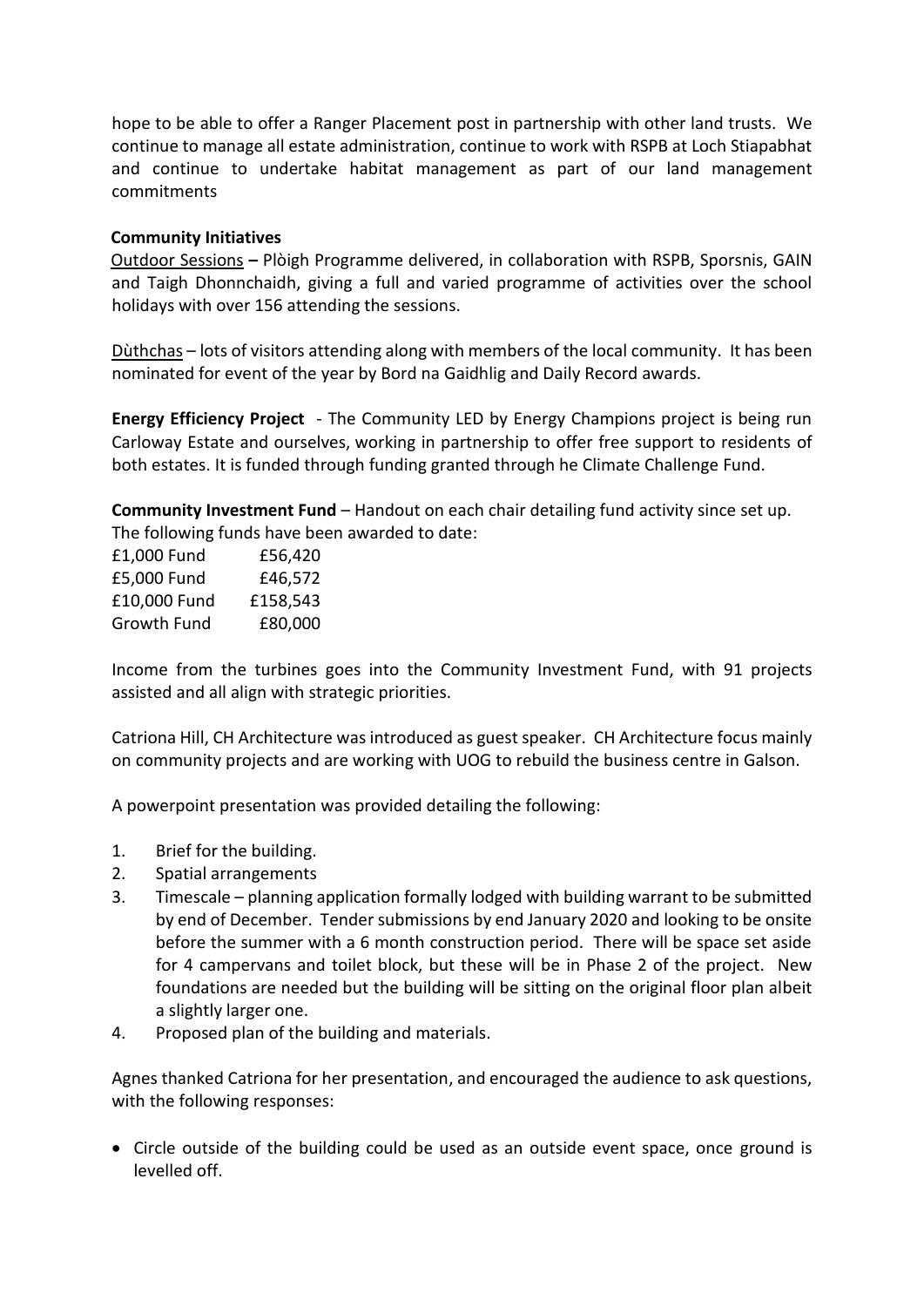hope to be able to offer a Ranger Placement post in partnership with other land trusts. We continue to manage all estate administration, continue to work with RSPB at Loch Stiapabhat and continue to undertake habitat management as part of our land management commitments

### **Community Initiatives**

Outdoor Sessions **–** Plòigh Programme delivered, in collaboration with RSPB, Sporsnis, GAIN and Taigh Dhonnchaidh, giving a full and varied programme of activities over the school holidays with over 156 attending the sessions.

Dùthchas – lots of visitors attending along with members of the local community. It has been nominated for event of the year by Bord na Gaidhlig and Daily Record awards.

**Energy Efficiency Project** - The Community LED by Energy Champions project is being run Carloway Estate and ourselves, working in partnership to offer free support to residents of both estates. It is funded through funding granted through he Climate Challenge Fund.

**Community Investment Fund** – Handout on each chair detailing fund activity since set up. The following funds have been awarded to date:

| £56,420  |
|----------|
| £46,572  |
| £158,543 |
| £80,000  |
|          |

Income from the turbines goes into the Community Investment Fund, with 91 projects assisted and all align with strategic priorities.

Catriona Hill, CH Architecture was introduced as guest speaker. CH Architecture focus mainly on community projects and are working with UOG to rebuild the business centre in Galson.

A powerpoint presentation was provided detailing the following:

- 1. Brief for the building.
- 2. Spatial arrangements
- 3. Timescale planning application formally lodged with building warrant to be submitted by end of December. Tender submissions by end January 2020 and looking to be onsite before the summer with a 6 month construction period. There will be space set aside for 4 campervans and toilet block, but these will be in Phase 2 of the project. New foundations are needed but the building will be sitting on the original floor plan albeit a slightly larger one.
- 4. Proposed plan of the building and materials.

Agnes thanked Catriona for her presentation, and encouraged the audience to ask questions, with the following responses:

• Circle outside of the building could be used as an outside event space, once ground is levelled off.